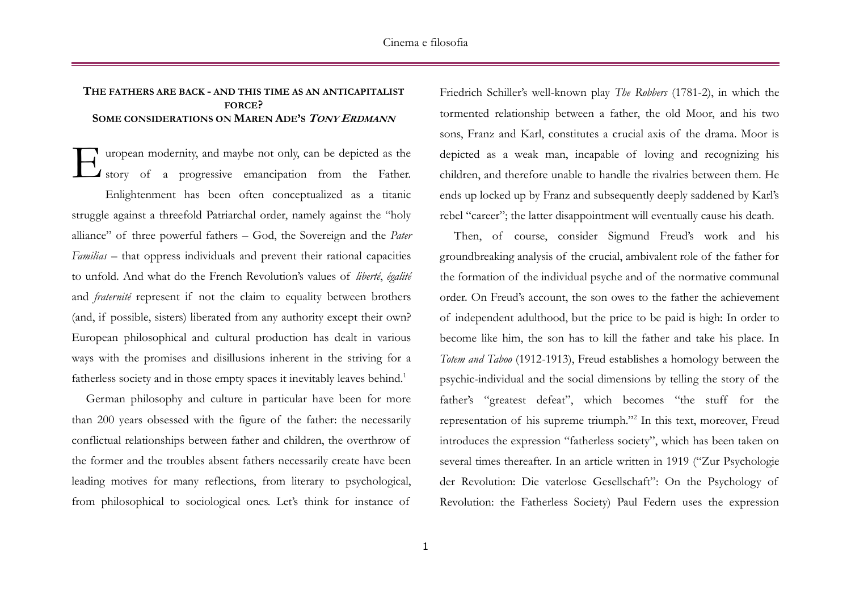## **THE FATHERS ARE BACK - AND THIS TIME AS AN ANTICAPITALIST FORCE? SOME CONSIDERATIONS ON MAREN ADE'S TONY ERDMANN**

uropean modernity, and maybe not only, can be depicted as the I story of a progressive emancipation from the Father. Enlightenment has been often conceptualized as a titanic struggle against a threefold Patriarchal order, namely against the "holy alliance" of three powerful fathers – God, the Sovereign and the *Pater Familias* – that oppress individuals and prevent their rational capacities to unfold. And what do the French Revolution's values of *liberté*, *égalité* and *fraternité* represent if not the claim to equality between brothers (and, if possible, sisters) liberated from any authority except their own? European philosophical and cultural production has dealt in various ways with the promises and disillusions inherent in the striving for a fatherless society and in those empty spaces it inevitably leaves behind.<sup>1</sup> E

German philosophy and culture in particular have been for more than 200 years obsessed with the figure of the father: the necessarily conflictual relationships between father and children, the overthrow of the former and the troubles absent fathers necessarily create have been leading motives for many reflections, from literary to psychological, from philosophical to sociological ones. Let's think for instance of Friedrich Schiller's well-known play *The Robbers* (1781-2), in which the tormented relationship between a father, the old Moor, and his two sons, Franz and Karl, constitutes a crucial axis of the drama. Moor is depicted as a weak man, incapable of loving and recognizing his children, and therefore unable to handle the rivalries between them. He ends up locked up by Franz and subsequently deeply saddened by Karl's rebel "career"; the latter disappointment will eventually cause his death.

Then, of course, consider Sigmund Freud's work and his groundbreaking analysis of the crucial, ambivalent role of the father for the formation of the individual psyche and of the normative communal order. On Freud's account, the son owes to the father the achievement of independent adulthood, but the price to be paid is high: In order to become like him, the son has to kill the father and take his place. In *Totem and Taboo* (1912-1913), Freud establishes a homology between the psychic-individual and the social dimensions by telling the story of the father's "greatest defeat", which becomes "the stuff for the representation of his supreme triumph."<sup>2</sup> In this text, moreover, Freud introduces the expression "fatherless society", which has been taken on several times thereafter. In an article written in 1919 ("Zur Psychologie der Revolution: Die vaterlose Gesellschaft": On the Psychology of Revolution: the Fatherless Society) Paul Federn uses the expression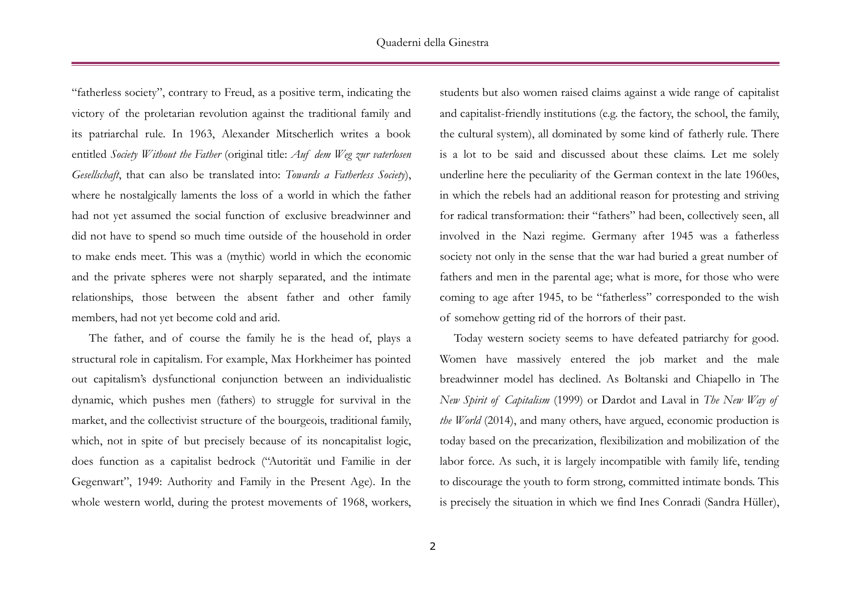"fatherless society", contrary to Freud, as a positive term, indicating the victory of the proletarian revolution against the traditional family and its patriarchal rule. In 1963, Alexander Mitscherlich writes a book entitled *Society Without the Father* (original title: *Auf dem Weg zur vaterlosen Gesellschaft*, that can also be translated into: *Towards a Fatherless Society*), where he nostalgically laments the loss of a world in which the father had not yet assumed the social function of exclusive breadwinner and did not have to spend so much time outside of the household in order to make ends meet. This was a (mythic) world in which the economic and the private spheres were not sharply separated, and the intimate relationships, those between the absent father and other family members, had not yet become cold and arid.

The father, and of course the family he is the head of, plays a structural role in capitalism. For example, Max Horkheimer has pointed out capitalism's dysfunctional conjunction between an individualistic dynamic, which pushes men (fathers) to struggle for survival in the market, and the collectivist structure of the bourgeois, traditional family, which, not in spite of but precisely because of its noncapitalist logic, does function as a capitalist bedrock ("Autorität und Familie in der Gegenwart", 1949: Authority and Family in the Present Age). In the whole western world, during the protest movements of 1968, workers,

students but also women raised claims against a wide range of capitalist and capitalist-friendly institutions (e.g. the factory, the school, the family, the cultural system), all dominated by some kind of fatherly rule. There is a lot to be said and discussed about these claims. Let me solely underline here the peculiarity of the German context in the late 1960es, in which the rebels had an additional reason for protesting and striving for radical transformation: their "fathers" had been, collectively seen, all involved in the Nazi regime. Germany after 1945 was a fatherless society not only in the sense that the war had buried a great number of fathers and men in the parental age; what is more, for those who were coming to age after 1945, to be "fatherless" corresponded to the wish of somehow getting rid of the horrors of their past.

Today western society seems to have defeated patriarchy for good. Women have massively entered the job market and the male breadwinner model has declined. As Boltanski and Chiapello in The *New Spirit of Capitalism* (1999) or Dardot and Laval in *The New Way of the World* (2014), and many others, have argued, economic production is today based on the precarization, flexibilization and mobilization of the labor force. As such, it is largely incompatible with family life, tending to discourage the youth to form strong, committed intimate bonds. This is precisely the situation in which we find Ines Conradi (Sandra Hüller),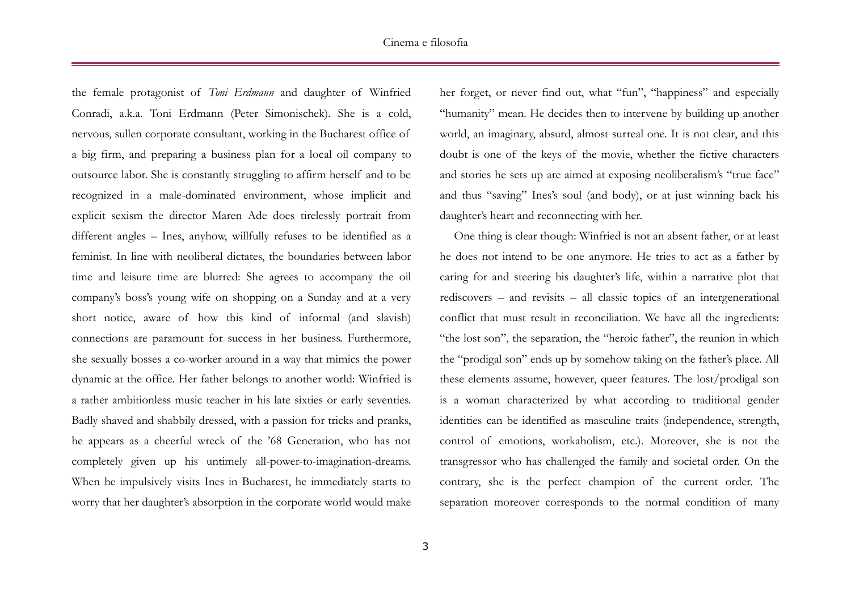the female protagonist of *Toni Erdmann* and daughter of Winfried Conradi, a.k.a. Toni Erdmann (Peter Simonischek). She is a cold, nervous, sullen corporate consultant, working in the Bucharest office of a big firm, and preparing a business plan for a local oil company to outsource labor. She is constantly struggling to affirm herself and to be recognized in a male-dominated environment, whose implicit and explicit sexism the director Maren Ade does tirelessly portrait from different angles – Ines, anyhow, willfully refuses to be identified as a feminist. In line with neoliberal dictates, the boundaries between labor time and leisure time are blurred: She agrees to accompany the oil company's boss's young wife on shopping on a Sunday and at a very short notice, aware of how this kind of informal (and slavish) connections are paramount for success in her business. Furthermore, she sexually bosses a co-worker around in a way that mimics the power dynamic at the office. Her father belongs to another world: Winfried is a rather ambitionless music teacher in his late sixties or early seventies. Badly shaved and shabbily dressed, with a passion for tricks and pranks, he appears as a cheerful wreck of the '68 Generation, who has not completely given up his untimely all-power-to-imagination-dreams. When he impulsively visits Ines in Bucharest, he immediately starts to worry that her daughter's absorption in the corporate world would make her forget, or never find out, what "fun", "happiness" and especially "humanity" mean. He decides then to intervene by building up another world, an imaginary, absurd, almost surreal one. It is not clear, and this doubt is one of the keys of the movie, whether the fictive characters and stories he sets up are aimed at exposing neoliberalism's "true face" and thus "saving" Ines's soul (and body), or at just winning back his daughter's heart and reconnecting with her.

One thing is clear though: Winfried is not an absent father, or at least he does not intend to be one anymore. He tries to act as a father by caring for and steering his daughter's life, within a narrative plot that rediscovers – and revisits – all classic topics of an intergenerational conflict that must result in reconciliation. We have all the ingredients: "the lost son", the separation, the "heroic father", the reunion in which the "prodigal son" ends up by somehow taking on the father's place. All these elements assume, however, queer features. The lost/prodigal son is a woman characterized by what according to traditional gender identities can be identified as masculine traits (independence, strength, control of emotions, workaholism, etc.). Moreover, she is not the transgressor who has challenged the family and societal order. On the contrary, she is the perfect champion of the current order. The separation moreover corresponds to the normal condition of many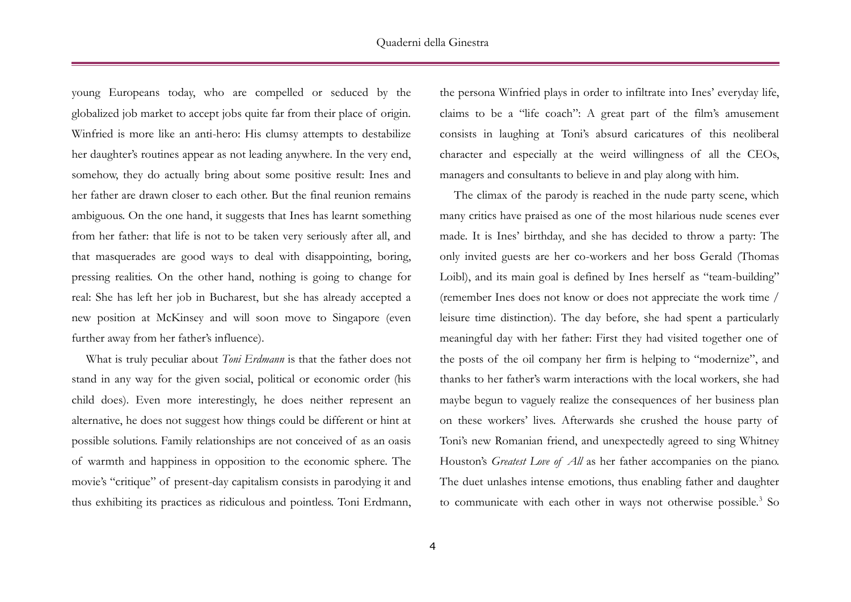young Europeans today, who are compelled or seduced by the globalized job market to accept jobs quite far from their place of origin. Winfried is more like an anti-hero: His clumsy attempts to destabilize her daughter's routines appear as not leading anywhere. In the very end, somehow, they do actually bring about some positive result: Ines and her father are drawn closer to each other. But the final reunion remains ambiguous. On the one hand, it suggests that Ines has learnt something from her father: that life is not to be taken very seriously after all, and that masquerades are good ways to deal with disappointing, boring, pressing realities. On the other hand, nothing is going to change for real: She has left her job in Bucharest, but she has already accepted a new position at McKinsey and will soon move to Singapore (even further away from her father's influence).

What is truly peculiar about *Toni Erdmann* is that the father does not stand in any way for the given social, political or economic order (his child does). Even more interestingly, he does neither represent an alternative, he does not suggest how things could be different or hint at possible solutions. Family relationships are not conceived of as an oasis of warmth and happiness in opposition to the economic sphere. The movie's "critique" of present-day capitalism consists in parodying it and thus exhibiting its practices as ridiculous and pointless. Toni Erdmann,

the persona Winfried plays in order to infiltrate into Ines' everyday life, claims to be a "life coach": A great part of the film's amusement consists in laughing at Toni's absurd caricatures of this neoliberal character and especially at the weird willingness of all the CEOs, managers and consultants to believe in and play along with him.

The climax of the parody is reached in the nude party scene, which many critics have praised as one of the most hilarious nude scenes ever made. It is Ines' birthday, and she has decided to throw a party: The only invited guests are her co-workers and her boss Gerald (Thomas Loibl), and its main goal is defined by Ines herself as "team-building" (remember Ines does not know or does not appreciate the work time / leisure time distinction). The day before, she had spent a particularly meaningful day with her father: First they had visited together one of the posts of the oil company her firm is helping to "modernize", and thanks to her father's warm interactions with the local workers, she had maybe begun to vaguely realize the consequences of her business plan on these workers' lives. Afterwards she crushed the house party of Toni's new Romanian friend, and unexpectedly agreed to sing Whitney Houston's *Greatest Love of All* as her father accompanies on the piano. The duet unlashes intense emotions, thus enabling father and daughter to communicate with each other in ways not otherwise possible.<sup>3</sup> So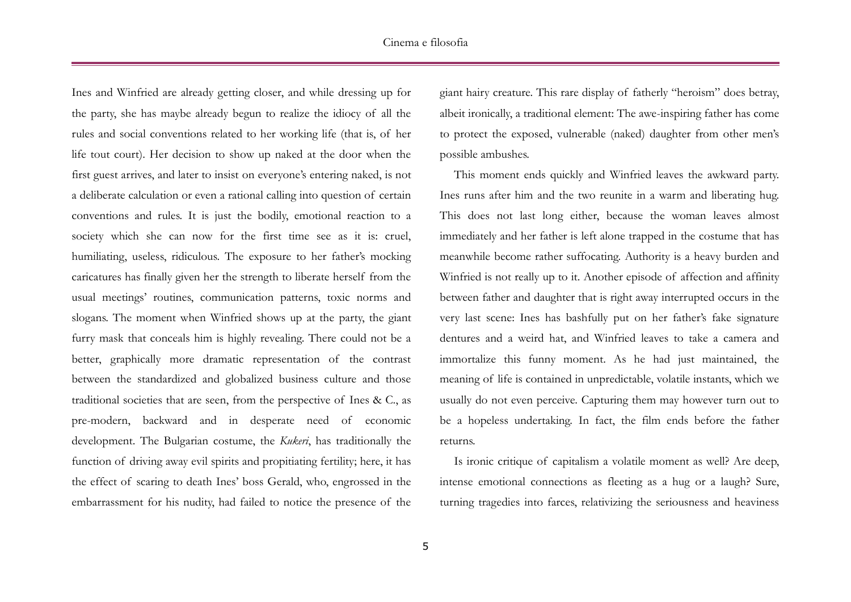Ines and Winfried are already getting closer, and while dressing up for the party, she has maybe already begun to realize the idiocy of all the rules and social conventions related to her working life (that is, of her life tout court). Her decision to show up naked at the door when the first guest arrives, and later to insist on everyone's entering naked, is not a deliberate calculation or even a rational calling into question of certain conventions and rules. It is just the bodily, emotional reaction to a society which she can now for the first time see as it is: cruel, humiliating, useless, ridiculous. The exposure to her father's mocking caricatures has finally given her the strength to liberate herself from the usual meetings' routines, communication patterns, toxic norms and slogans. The moment when Winfried shows up at the party, the giant furry mask that conceals him is highly revealing. There could not be a better, graphically more dramatic representation of the contrast between the standardized and globalized business culture and those traditional societies that are seen, from the perspective of Ines & C., as pre-modern, backward and in desperate need of economic development. The Bulgarian costume, the *Kukeri*, has traditionally the function of driving away evil spirits and propitiating fertility; here, it has the effect of scaring to death Ines' boss Gerald, who, engrossed in the embarrassment for his nudity, had failed to notice the presence of the giant hairy creature. This rare display of fatherly "heroism" does betray, albeit ironically, a traditional element: The awe-inspiring father has come to protect the exposed, vulnerable (naked) daughter from other men's possible ambushes.

This moment ends quickly and Winfried leaves the awkward party. Ines runs after him and the two reunite in a warm and liberating hug. This does not last long either, because the woman leaves almost immediately and her father is left alone trapped in the costume that has meanwhile become rather suffocating. Authority is a heavy burden and Winfried is not really up to it. Another episode of affection and affinity between father and daughter that is right away interrupted occurs in the very last scene: Ines has bashfully put on her father's fake signature dentures and a weird hat, and Winfried leaves to take a camera and immortalize this funny moment. As he had just maintained, the meaning of life is contained in unpredictable, volatile instants, which we usually do not even perceive. Capturing them may however turn out to be a hopeless undertaking. In fact, the film ends before the father returns.

Is ironic critique of capitalism a volatile moment as well? Are deep, intense emotional connections as fleeting as a hug or a laugh? Sure, turning tragedies into farces, relativizing the seriousness and heaviness